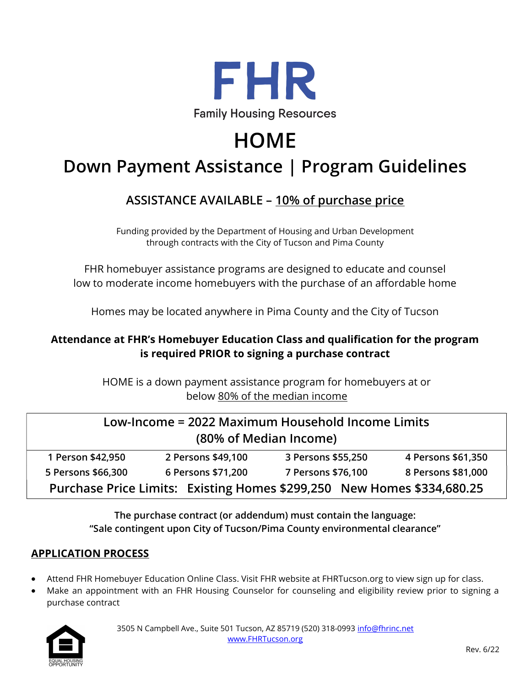

# **HOME**

# Down Payment Assistance | Program Guidelines

## ASSISTANCE AVAILABLE – 10% of purchase price

Funding provided by the Department of Housing and Urban Development through contracts with the City of Tucson and Pima County

FHR homebuyer assistance programs are designed to educate and counsel low to moderate income homebuyers with the purchase of an affordable home

Homes may be located anywhere in Pima County and the City of Tucson

### Attendance at FHR's Homebuyer Education Class and qualification for the program is required PRIOR to signing a purchase contract

HOME is a down payment assistance program for homebuyers at or below 80% of the median income

| Low-Income = 2022 Maximum Household Income Limits<br>(80% of Median Income) |                    |                    |                    |
|-----------------------------------------------------------------------------|--------------------|--------------------|--------------------|
| 1 Person \$42,950                                                           | 2 Persons \$49,100 | 3 Persons \$55,250 | 4 Persons \$61,350 |
| 5 Persons \$66,300                                                          | 6 Persons \$71,200 | 7 Persons \$76,100 | 8 Persons \$81,000 |
| Purchase Price Limits: Existing Homes \$299,250 New Homes \$334,680.25      |                    |                    |                    |

The purchase contract (or addendum) must contain the language: "Sale contingent upon City of Tucson/Pima County environmental clearance"

#### APPLICATION PROCESS

- Attend FHR Homebuyer Education Online Class. Visit FHR website at FHRTucson.org to view sign up for class.
- Make an appointment with an FHR Housing Counselor for counseling and eligibility review prior to signing a purchase contract

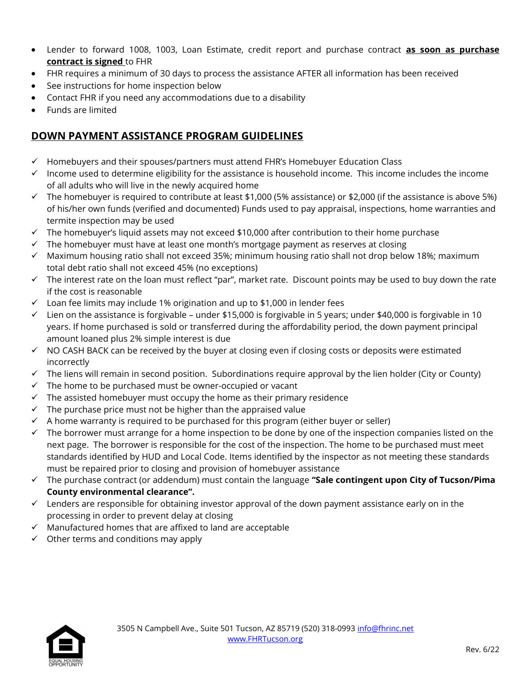- Lender to forward 1008, 1003, Loan Estimate, credit report and purchase contract as soon as purchase contract is signed to FHR
- FHR requires a minimum of 30 days to process the assistance AFTER all information has been received
- See instructions for home inspection below
- Contact FHR if you need any accommodations due to a disability
- Funds are limited

### DOWN PAYMENT ASSISTANCE PROGRAM GUIDELINES

- $\checkmark$  Homebuyers and their spouses/partners must attend FHR's Homebuyer Education Class
- $\checkmark$  Income used to determine eligibility for the assistance is household income. This income includes the income of all adults who will live in the newly acquired home
- $\checkmark$  The homebuyer is required to contribute at least \$1,000 (5% assistance) or \$2,000 (if the assistance is above 5%) of his/her own funds (verified and documented) Funds used to pay appraisal, inspections, home warranties and termite inspection may be used
- $\checkmark$  The homebuyer's liquid assets may not exceed \$10,000 after contribution to their home purchase
- $\checkmark$  The homebuyer must have at least one month's mortgage payment as reserves at closing
- $\checkmark$  Maximum housing ratio shall not exceed 35%; minimum housing ratio shall not drop below 18%; maximum total debt ratio shall not exceed 45% (no exceptions)
- $\checkmark$  The interest rate on the loan must reflect "par", market rate. Discount points may be used to buy down the rate if the cost is reasonable
- $\checkmark$  Loan fee limits may include 1% origination and up to \$1,000 in lender fees
- $\checkmark$  Lien on the assistance is forgivable under \$15,000 is forgivable in 5 years; under \$40,000 is forgivable in 10 years. If home purchased is sold or transferred during the affordability period, the down payment principal amount loaned plus 2% simple interest is due
- $\checkmark$  NO CASH BACK can be received by the buyer at closing even if closing costs or deposits were estimated incorrectly
- $\checkmark$  The liens will remain in second position. Subordinations require approval by the lien holder (City or County)
- $\checkmark$  The home to be purchased must be owner-occupied or vacant
- $\checkmark$  The assisted homebuyer must occupy the home as their primary residence
- $\checkmark$  The purchase price must not be higher than the appraised value
- $\checkmark$  A home warranty is required to be purchased for this program (either buyer or seller)
- $\checkmark$  The borrower must arrange for a home inspection to be done by one of the inspection companies listed on the next page. The borrower is responsible for the cost of the inspection. The home to be purchased must meet standards identified by HUD and Local Code. Items identified by the inspector as not meeting these standards must be repaired prior to closing and provision of homebuyer assistance
- $\checkmark$  The purchase contract (or addendum) must contain the language "Sale contingent upon City of Tucson/Pima County environmental clearance".
- $\checkmark$  Lenders are responsible for obtaining investor approval of the down payment assistance early on in the processing in order to prevent delay at closing
- $\checkmark$  Manufactured homes that are affixed to land are acceptable
- $\checkmark$  Other terms and conditions may apply